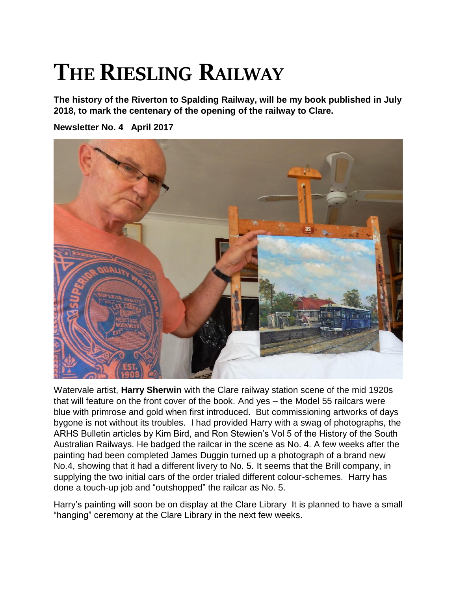## **THE RIESLING RAILWAY**

**The history of the Riverton to Spalding Railway, will be my book published in July 2018, to mark the centenary of the opening of the railway to Clare.** 

**Newsletter No. 4 April 2017**



Watervale artist, **Harry Sherwin** with the Clare railway station scene of the mid 1920s that will feature on the front cover of the book. And yes – the Model 55 railcars were blue with primrose and gold when first introduced. But commissioning artworks of days bygone is not without its troubles. I had provided Harry with a swag of photographs, the ARHS Bulletin articles by Kim Bird, and Ron Stewien's Vol 5 of the History of the South Australian Railways. He badged the railcar in the scene as No. 4. A few weeks after the painting had been completed James Duggin turned up a photograph of a brand new No.4, showing that it had a different livery to No. 5. It seems that the Brill company, in supplying the two initial cars of the order trialed different colour-schemes. Harry has done a touch-up job and "outshopped" the railcar as No. 5.

Harry's painting will soon be on display at the Clare Library It is planned to have a small "hanging" ceremony at the Clare Library in the next few weeks.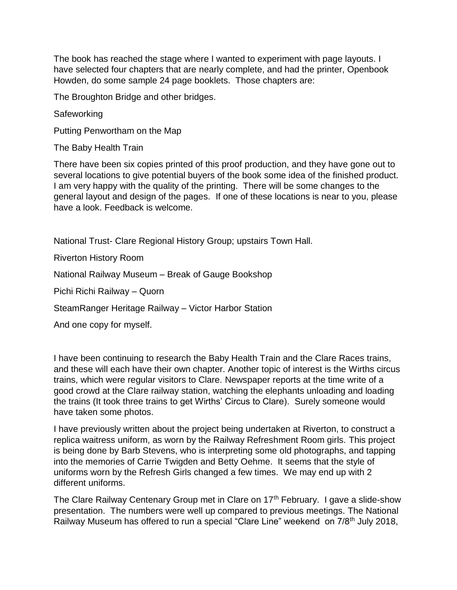The book has reached the stage where I wanted to experiment with page layouts. I have selected four chapters that are nearly complete, and had the printer, Openbook Howden, do some sample 24 page booklets. Those chapters are:

The Broughton Bridge and other bridges.

**Safeworking** 

Putting Penwortham on the Map

The Baby Health Train

There have been six copies printed of this proof production, and they have gone out to several locations to give potential buyers of the book some idea of the finished product. I am very happy with the quality of the printing. There will be some changes to the general layout and design of the pages. If one of these locations is near to you, please have a look. Feedback is welcome.

National Trust- Clare Regional History Group; upstairs Town Hall.

Riverton History Room

National Railway Museum – Break of Gauge Bookshop

Pichi Richi Railway – Quorn

SteamRanger Heritage Railway – Victor Harbor Station

And one copy for myself.

I have been continuing to research the Baby Health Train and the Clare Races trains, and these will each have their own chapter. Another topic of interest is the Wirths circus trains, which were regular visitors to Clare. Newspaper reports at the time write of a good crowd at the Clare railway station, watching the elephants unloading and loading the trains (It took three trains to get Wirths' Circus to Clare). Surely someone would have taken some photos.

I have previously written about the project being undertaken at Riverton, to construct a replica waitress uniform, as worn by the Railway Refreshment Room girls. This project is being done by Barb Stevens, who is interpreting some old photographs, and tapping into the memories of Carrie Twigden and Betty Oehme. It seems that the style of uniforms worn by the Refresh Girls changed a few times. We may end up with 2 different uniforms.

The Clare Railway Centenary Group met in Clare on 17<sup>th</sup> February. I gave a slide-show presentation. The numbers were well up compared to previous meetings. The National Railway Museum has offered to run a special "Clare Line" weekend on 7/8th July 2018,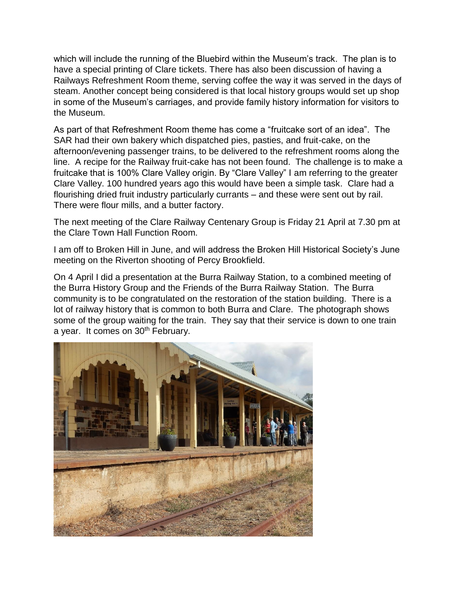which will include the running of the Bluebird within the Museum's track. The plan is to have a special printing of Clare tickets. There has also been discussion of having a Railways Refreshment Room theme, serving coffee the way it was served in the days of steam. Another concept being considered is that local history groups would set up shop in some of the Museum's carriages, and provide family history information for visitors to the Museum.

As part of that Refreshment Room theme has come a "fruitcake sort of an idea". The SAR had their own bakery which dispatched pies, pasties, and fruit-cake, on the afternoon/evening passenger trains, to be delivered to the refreshment rooms along the line. A recipe for the Railway fruit-cake has not been found. The challenge is to make a fruitcake that is 100% Clare Valley origin. By "Clare Valley" I am referring to the greater Clare Valley. 100 hundred years ago this would have been a simple task. Clare had a flourishing dried fruit industry particularly currants – and these were sent out by rail. There were flour mills, and a butter factory.

The next meeting of the Clare Railway Centenary Group is Friday 21 April at 7.30 pm at the Clare Town Hall Function Room.

I am off to Broken Hill in June, and will address the Broken Hill Historical Society's June meeting on the Riverton shooting of Percy Brookfield.

On 4 April I did a presentation at the Burra Railway Station, to a combined meeting of the Burra History Group and the Friends of the Burra Railway Station. The Burra community is to be congratulated on the restoration of the station building. There is a lot of railway history that is common to both Burra and Clare. The photograph shows some of the group waiting for the train. They say that their service is down to one train a year. It comes on 30<sup>th</sup> February.